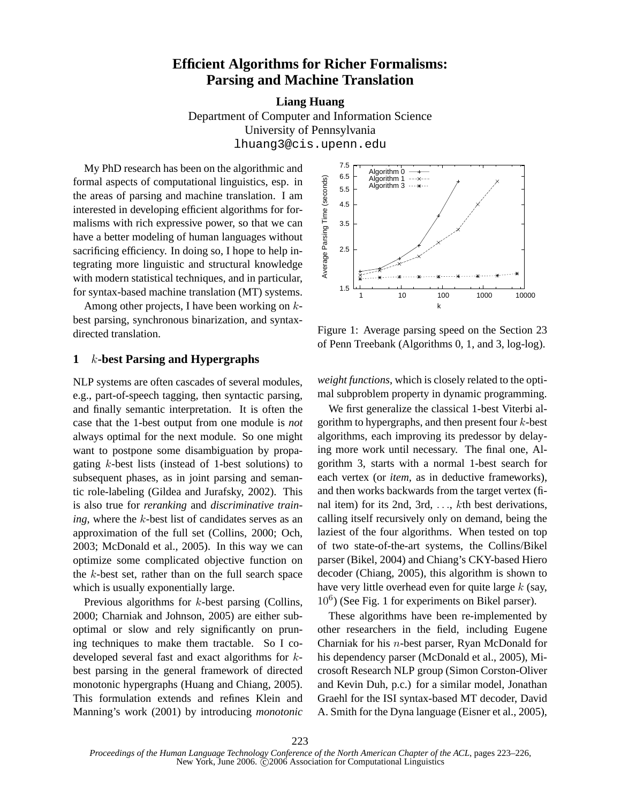# **Efficient Algorithms for Richer Formalisms: Parsing and Machine Translation**

**Liang Huang**

Department of Computer and Information Science University of Pennsylvania lhuang3@cis.upenn.edu

My PhD research has been on the algorithmic and formal aspects of computational linguistics, esp. in the areas of parsing and machine translation. I am interested in developing efficient algorithms for formalisms with rich expressive power, so that we can have a better modeling of human languages without sacrificing efficiency. In doing so, I hope to help integrating more linguistic and structural knowledge with modern statistical techniques, and in particular, for syntax-based machine translation (MT) systems.

Among other projects, I have been working on kbest parsing, synchronous binarization, and syntaxdirected translation.

# **1** k**-best Parsing and Hypergraphs**

NLP systems are often cascades of several modules, e.g., part-of-speech tagging, then syntactic parsing, and finally semantic interpretation. It is often the case that the 1-best output from one module is *not* always optimal for the next module. So one might want to postpone some disambiguation by propagating k-best lists (instead of 1-best solutions) to subsequent phases, as in joint parsing and semantic role-labeling (Gildea and Jurafsky, 2002). This is also true for *reranking* and *discriminative training*, where the k-best list of candidates serves as an approximation of the full set (Collins, 2000; Och, 2003; McDonald et al., 2005). In this way we can optimize some complicated objective function on the  $k$ -best set, rather than on the full search space which is usually exponentially large.

Previous algorithms for *k*-best parsing (Collins, 2000; Charniak and Johnson, 2005) are either suboptimal or slow and rely significantly on pruning techniques to make them tractable. So I codeveloped several fast and exact algorithms for kbest parsing in the general framework of directed monotonic hypergraphs (Huang and Chiang, 2005). This formulation extends and refines Klein and Manning's work (2001) by introducing *monotonic*



Figure 1: Average parsing speed on the Section 23 of Penn Treebank (Algorithms 0, 1, and 3, log-log).

*weight functions*, which is closely related to the optimal subproblem property in dynamic programming.

We first generalize the classical 1-best Viterbi algorithm to hypergraphs, and then present four  $k$ -best algorithms, each improving its predessor by delaying more work until necessary. The final one, Algorithm 3, starts with a normal 1-best search for each vertex (or *item*, as in deductive frameworks), and then works backwards from the target vertex (final item) for its 2nd,  $3rd$ , ..., kth best derivations, calling itself recursively only on demand, being the laziest of the four algorithms. When tested on top of two state-of-the-art systems, the Collins/Bikel parser (Bikel, 2004) and Chiang's CKY-based Hiero decoder (Chiang, 2005), this algorithm is shown to have very little overhead even for quite large  $k$  (say,  $10^6$ ) (See Fig. 1 for experiments on Bikel parser).

These algorithms have been re-implemented by other researchers in the field, including Eugene Charniak for his n-best parser, Ryan McDonald for his dependency parser (McDonald et al., 2005), Microsoft Research NLP group (Simon Corston-Oliver and Kevin Duh, p.c.) for a similar model, Jonathan Graehl for the ISI syntax-based MT decoder, David A. Smith for the Dyna language (Eisner et al., 2005),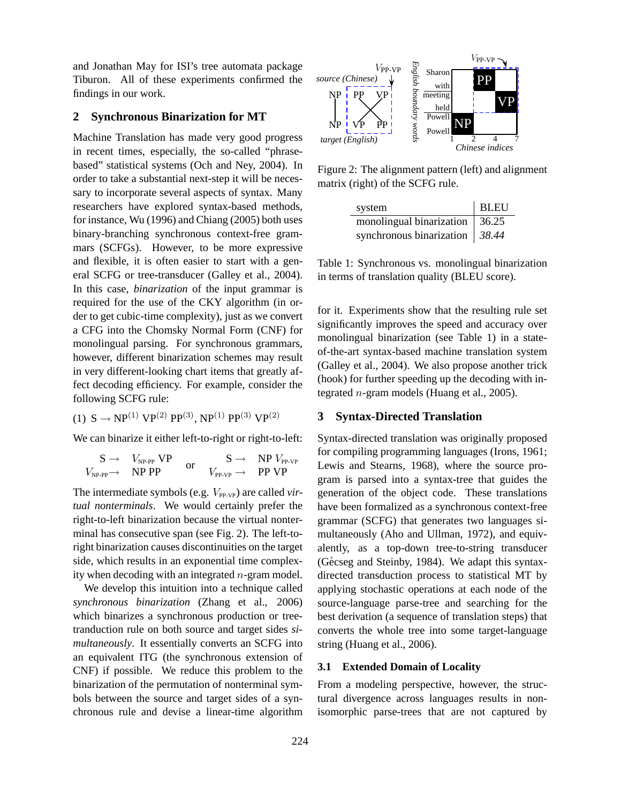and Jonathan May for ISI's tree automata package Tiburon. All of these experiments confirmed the findings in our work.

# **2 Synchronous Binarization for MT**

Machine Translation has made very good progress in recent times, especially, the so-called "phrasebased" statistical systems (Och and Ney, 2004). In order to take a substantial next-step it will be necessary to incorporate several aspects of syntax. Many researchers have explored syntax-based methods, for instance, Wu (1996) and Chiang (2005) both uses binary-branching synchronous context-free grammars (SCFGs). However, to be more expressive and flexible, it is often easier to start with a general SCFG or tree-transducer (Galley et al., 2004). In this case, *binarization* of the input grammar is required for the use of the CKY algorithm (in order to get cubic-time complexity), just as we convert a CFG into the Chomsky Normal Form (CNF) for monolingual parsing. For synchronous grammars, however, different binarization schemes may result in very different-looking chart items that greatly affect decoding efficiency. For example, consider the following SCFG rule:

(1)  $S \to NP^{(1)} VP^{(2)} PP^{(3)}$ ,  $NP^{(1)} PP^{(3)} VP^{(2)}$ 

We can binarize it either left-to-right or right-to-left:

$$
\begin{array}{ccc}\nS \to & V_{\text{NP-PP}} \text{ VP} & S \to & \text{NP } V_{\text{PP-VP}} \\
V_{\text{NP-PP}} \to & \text{NP PP} & \text{or} & V_{\text{PP-VP}} \to & \text{PP VP}\n\end{array}
$$

The intermediate symbols (e.g.  $V_{PP-VP}$ ) are called *virtual nonterminals*. We would certainly prefer the right-to-left binarization because the virtual nonterminal has consecutive span (see Fig. 2). The left-toright binarization causes discontinuities on the target side, which results in an exponential time complexity when decoding with an integrated  $n$ -gram model.

We develop this intuition into a technique called *synchronous binarization* (Zhang et al., 2006) which binarizes a synchronous production or treetranduction rule on both source and target sides *simultaneously*. It essentially converts an SCFG into an equivalent ITG (the synchronous extension of CNF) if possible. We reduce this problem to the binarization of the permutation of nonterminal symbols between the source and target sides of a synchronous rule and devise a linear-time algorithm



Figure 2: The alignment pattern (left) and alignment matrix (right) of the SCFG rule.

| system                                 | <b>BLEU</b> |
|----------------------------------------|-------------|
| monolingual binarization               | 36.25       |
| synchronous binarization $\vert$ 38.44 |             |

Table 1: Synchronous vs. monolingual binarization in terms of translation quality (BLEU score).

for it. Experiments show that the resulting rule set significantly improves the speed and accuracy over monolingual binarization (see Table 1) in a stateof-the-art syntax-based machine translation system (Galley et al., 2004). We also propose another trick (hook) for further speeding up the decoding with integrated *n*-gram models (Huang et al., 2005).

## **3 Syntax-Directed Translation**

Syntax-directed translation was originally proposed for compiling programming languages (Irons, 1961; Lewis and Stearns, 1968), where the source program is parsed into a syntax-tree that guides the generation of the object code. These translations have been formalized as a synchronous context-free grammar (SCFG) that generates two languages simultaneously (Aho and Ullman, 1972), and equivalently, as a top-down tree-to-string transducer (Gécseg and Steinby, 1984). We adapt this syntaxdirected transduction process to statistical MT by applying stochastic operations at each node of the source-language parse-tree and searching for the best derivation (a sequence of translation steps) that converts the whole tree into some target-language string (Huang et al., 2006).

#### **3.1 Extended Domain of Locality**

From a modeling perspective, however, the structural divergence across languages results in nonisomorphic parse-trees that are not captured by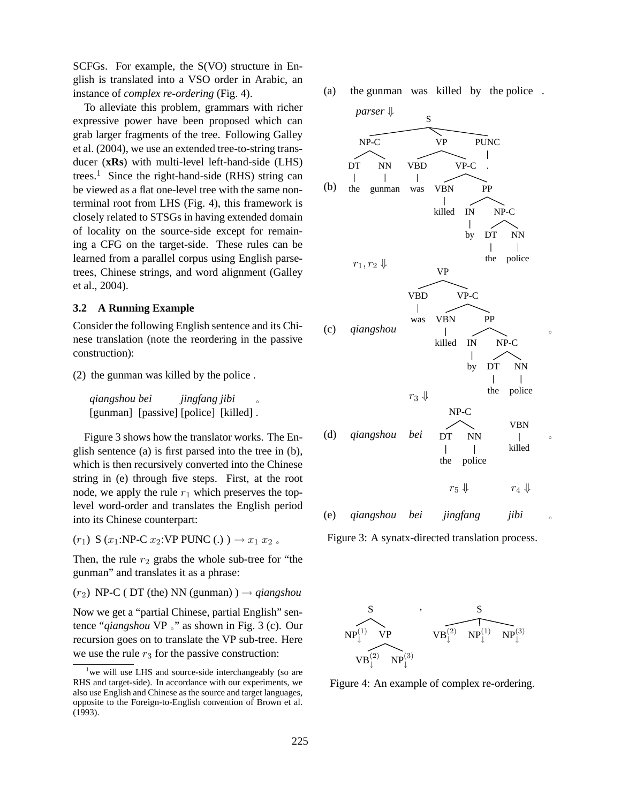SCFGs. For example, the S(VO) structure in English is translated into a VSO order in Arabic, an instance of *complex re-ordering* (Fig. 4).

To alleviate this problem, grammars with richer expressive power have been proposed which can grab larger fragments of the tree. Following Galley et al. (2004), we use an extended tree-to-string transducer (**xRs**) with multi-level left-hand-side (LHS) trees.<sup>1</sup> Since the right-hand-side (RHS) string can be viewed as a flat one-level tree with the same nonterminal root from LHS (Fig. 4), this framework is closely related to STSGs in having extended domain of locality on the source-side except for remaining a CFG on the target-side. These rules can be learned from a parallel corpus using English parsetrees, Chinese strings, and word alignment (Galley et al., 2004).

## **3.2 A Running Example**

Consider the following English sentence and its Chinese translation (note the reordering in the passive construction):

(2) the gunman was killed by the police .

*qiangshou bei* [gunman] [passive] [police] [killed]. *jingfang jibi* ◦

Figure 3 shows how the translator works. The English sentence (a) is first parsed into the tree in (b), which is then recursively converted into the Chinese string in (e) through five steps. First, at the root node, we apply the rule  $r_1$  which preserves the toplevel word-order and translates the English period into its Chinese counterpart:

 $(r_1)$  S  $(x_1:\text{NP-C } x_2:\text{VP PUNC}$  (.)  $) \rightarrow x_1 x_2$ .

Then, the rule  $r_2$  grabs the whole sub-tree for "the gunman" and translates it as a phrase:

 $(r_2)$  NP-C (DT (the) NN (gunman) )  $\rightarrow$  *qiangshou* 

Now we get a "partial Chinese, partial English" sentence "*qiangshou* VP ◦" as shown in Fig. 3 (c). Our recursion goes on to translate the VP sub-tree. Here we use the rule  $r_3$  for the passive construction:

(a) the gunman was killed by the police .



Figure 3: A synatx-directed translation process.



Figure 4: An example of complex re-ordering.

<sup>&</sup>lt;sup>1</sup> we will use LHS and source-side interchangeably (so are RHS and target-side). In accordance with our experiments, we also use English and Chinese as the source and target languages, opposite to the Foreign-to-English convention of Brown et al. (1993).